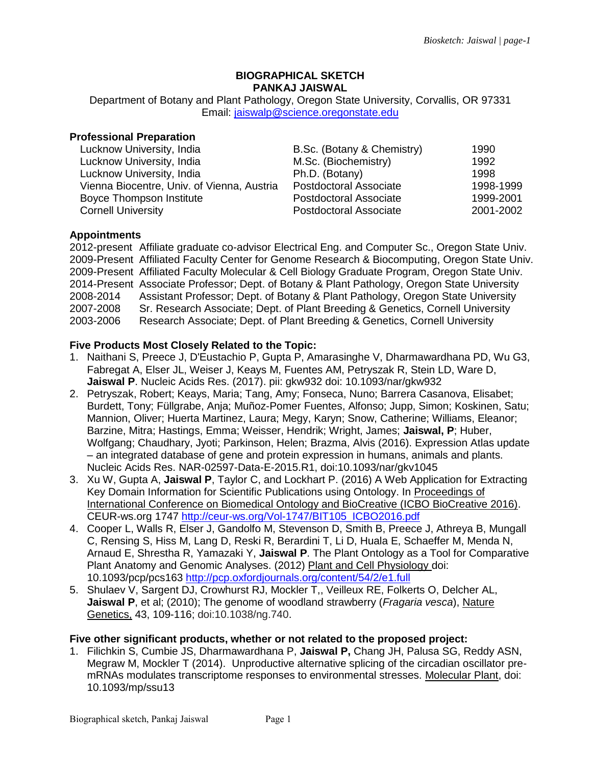#### **BIOGRAPHICAL SKETCH PANKAJ JAISWAL**

Department of Botany and Plant Pathology, Oregon State University, Corvallis, OR 97331 Email: [jaiswalp@science.oregonstate.edu](mailto:jaiswalp@science.oregonstate.edu)

# **Professional Preparation**

| Lucknow University, India                  | B.Sc. (Botany & Chemistry)    | 1990      |
|--------------------------------------------|-------------------------------|-----------|
| Lucknow University, India                  | M.Sc. (Biochemistry)          | 1992      |
| Lucknow University, India                  | Ph.D. (Botany)                | 1998      |
| Vienna Biocentre, Univ. of Vienna, Austria | <b>Postdoctoral Associate</b> | 1998-1999 |
| Boyce Thompson Institute                   | Postdoctoral Associate        | 1999-2001 |
| <b>Cornell University</b>                  | <b>Postdoctoral Associate</b> | 2001-2002 |

### **Appointments**

2012-present Affiliate graduate co-advisor Electrical Eng. and Computer Sc., Oregon State Univ. 2009-Present Affiliated Faculty Center for Genome Research & Biocomputing, Oregon State Univ. 2009-Present Affiliated Faculty Molecular & Cell Biology Graduate Program, Oregon State Univ. 2014-Present Associate Professor; Dept. of Botany & Plant Pathology, Oregon State University 2008-2014 Assistant Professor; Dept. of Botany & Plant Pathology, Oregon State University 2007-2008 Sr. Research Associate; Dept. of Plant Breeding & Genetics, Cornell University 2003-2006 Research Associate; Dept. of Plant Breeding & Genetics, Cornell University

### **Five Products Most Closely Related to the Topic:**

- 1. Naithani S, Preece J, D'Eustachio P, Gupta P, Amarasinghe V, Dharmawardhana PD, Wu G3, Fabregat A, Elser JL, Weiser J, Keays M, Fuentes AM, Petryszak R, Stein LD, Ware D, **Jaiswal P**. Nucleic Acids Res. (2017). pii: gkw932 doi: 10.1093/nar/gkw932
- 2. Petryszak, Robert; Keays, Maria; Tang, Amy; Fonseca, Nuno; Barrera Casanova, Elisabet; Burdett, Tony; Füllgrabe, Anja; Muñoz-Pomer Fuentes, Alfonso; Jupp, Simon; Koskinen, Satu; Mannion, Oliver; Huerta Martinez, Laura; Megy, Karyn; Snow, Catherine; Williams, Eleanor; Barzine, Mitra; Hastings, Emma; Weisser, Hendrik; Wright, James; **Jaiswal, P**; Huber, Wolfgang; Chaudhary, Jyoti; Parkinson, Helen; Brazma, Alvis (2016). Expression Atlas update – an integrated database of gene and protein expression in humans, animals and plants. Nucleic Acids Res. NAR-02597-Data-E-2015.R1, doi:10.1093/nar/gkv1045
- 3. Xu W, Gupta A, **Jaiswal P**, Taylor C, and Lockhart P. (2016) A Web Application for Extracting Key Domain Information for Scientific Publications using Ontology. In Proceedings of International Conference on Biomedical Ontology and BioCreative (ICBO BioCreative 2016). CEUR-ws.org 1747 [http://ceur-ws.org/Vol-1747/BIT105\\_ICBO2016.pdf](http://ceur-ws.org/Vol-1747/BIT105_ICBO2016.pdf)
- 4. Cooper L, Walls R, Elser J, Gandolfo M, Stevenson D, Smith B, Preece J, Athreya B, Mungall C, Rensing S, Hiss M, Lang D, Reski R, Berardini T, Li D, Huala E, Schaeffer M, Menda N, Arnaud E, Shrestha R, Yamazaki Y, **Jaiswal P**. The Plant Ontology as a Tool for Comparative Plant Anatomy and Genomic Analyses. (2012) Plant and Cell Physiology doi: 10.1093/pcp/pcs163<http://pcp.oxfordjournals.org/content/54/2/e1.full>
- 5. Shulaev V, Sargent DJ, Crowhurst RJ, Mockler T,, Veilleux RE, Folkerts O, Delcher AL, **Jaiswal P**, et al; (2010); The genome of woodland strawberry (*Fragaria vesca*), Nature Genetics, 43, 109-116; doi:10.1038/ng.740.

#### **Five other significant products, whether or not related to the proposed project:**

1. Filichkin S, Cumbie JS, Dharmawardhana P, **Jaiswal P,** Chang JH, Palusa SG, Reddy ASN, Megraw M, Mockler T (2014). Unproductive alternative splicing of the circadian oscillator premRNAs modulates transcriptome responses to environmental stresses. Molecular Plant, doi: 10.1093/mp/ssu13